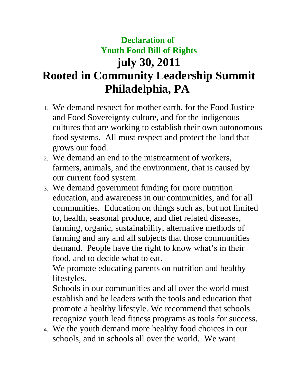## **Declaration of Youth Food Bill of Rights july 30, 2011 Rooted in Community Leadership Summit Philadelphia, PA**

- 1. We demand respect for mother earth, for the Food Justice and Food Sovereignty culture, and for the indigenous cultures that are working to establish their own autonomous food systems. All must respect and protect the land that grows our food.
- 2. We demand an end to the mistreatment of workers, farmers, animals, and the environment, that is caused by our current food system.
- 3. We demand government funding for more nutrition education, and awareness in our communities, and for all communities. Education on things such as, but not limited to, health, seasonal produce, and diet related diseases, farming, organic, sustainability, alternative methods of farming and any and all subjects that those communities demand. People have the right to know what's in their food, and to decide what to eat.

We promote educating parents on nutrition and healthy lifestyles.

Schools in our communities and all over the world must establish and be leaders with the tools and education that promote a healthy lifestyle. We recommend that schools recognize youth lead fitness programs as tools for success.

4. We the youth demand more healthy food choices in our schools, and in schools all over the world. We want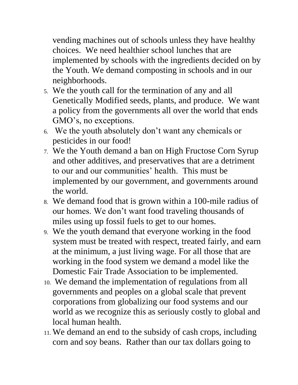vending machines out of schools unless they have healthy choices. We need healthier school lunches that are implemented by schools with the ingredients decided on by the Youth. We demand composting in schools and in our neighborhoods.

- 5. We the youth call for the termination of any and all Genetically Modified seeds, plants, and produce. We want a policy from the governments all over the world that ends GMO's, no exceptions.
- 6. We the youth absolutely don't want any chemicals or pesticides in our food!
- 7. We the Youth demand a ban on High Fructose Corn Syrup and other additives, and preservatives that are a detriment to our and our communities' health. This must be implemented by our government, and governments around the world.
- 8. We demand food that is grown within a 100-mile radius of our homes. We don't want food traveling thousands of miles using up fossil fuels to get to our homes.
- 9. We the youth demand that everyone working in the food system must be treated with respect, treated fairly, and earn at the minimum, a just living wage. For all those that are working in the food system we demand a model like the Domestic Fair Trade Association to be implemented.
- 10. We demand the implementation of regulations from all governments and peoples on a global scale that prevent corporations from globalizing our food systems and our world as we recognize this as seriously costly to global and local human health.
- 11. We demand an end to the subsidy of cash crops, including corn and soy beans. Rather than our tax dollars going to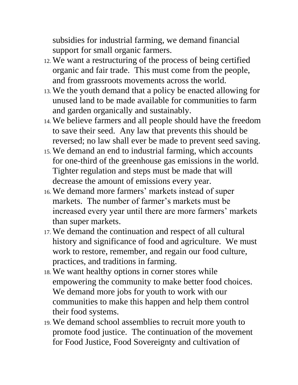subsidies for industrial farming, we demand financial support for small organic farmers.

- 12. We want a restructuring of the process of being certified organic and fair trade. This must come from the people, and from grassroots movements across the world.
- 13. We the youth demand that a policy be enacted allowing for unused land to be made available for communities to farm and garden organically and sustainably.
- 14. We believe farmers and all people should have the freedom to save their seed. Any law that prevents this should be reversed; no law shall ever be made to prevent seed saving.
- 15. We demand an end to industrial farming, which accounts for one-third of the greenhouse gas emissions in the world. Tighter regulation and steps must be made that will decrease the amount of emissions every year.
- 16. We demand more farmers' markets instead of super markets. The number of farmer's markets must be increased every year until there are more farmers' markets than super markets.
- 17. We demand the continuation and respect of all cultural history and significance of food and agriculture. We must work to restore, remember, and regain our food culture, practices, and traditions in farming.
- 18. We want healthy options in corner stores while empowering the community to make better food choices. We demand more jobs for youth to work with our communities to make this happen and help them control their food systems.
- 19. We demand school assemblies to recruit more youth to promote food justice. The continuation of the movement for Food Justice, Food Sovereignty and cultivation of